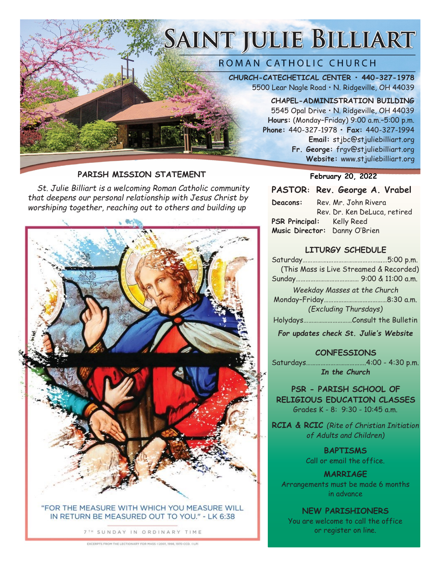# SAINT JULIE BILLIART

#### ROMAN CATHOLIC CHURCH

**CHURCH-CATECHETICAL CENTER • 440-327-1978** 5500 Lear Nagle Road • N. Ridgeville, OH 44039

> **CHAPEL-ADMINISTRATION BUILDING** 5545 Opal Drive • N. Ridgeville, OH 44039 **Hours:** (Monday–Friday) 9:00 a.m.–5:00 p.m. **Phone:** 440-327-1978 **• Fax:** 440-327-1994 **Email:** stjbc@stjuliebilliart.org **Fr. George:** frgv@stjuliebilliart.org **Website:** www.stjuliebilliart.org

#### PARISH MISSION STATEMENT<br>
February 20, 2022

*St. Julie Billiart is a welcoming Roman Catholic community that deepens our personal relationship with Jesus Christ by worshiping together, reaching out to others and building up* 



7TH SUNDAY IN ORDINARY TIME

EXCERPTS FROM THE LECTIONARY FOR MASS #2001, 1998, 1970 CCD, #LP

#### **PASTOR: Rev. George A. Vrabel**

| Deacons:                  | Rev. Mr. John Rivera          |
|---------------------------|-------------------------------|
|                           | Rev. Dr. Ken DeLuca, retired  |
| PSR Principal: Kelly Reed |                               |
|                           | Music Director: Danny O'Brien |

#### **LITURGY SCHEDULE**

| (This Mass is Live Streamed & Recorded) |
|-----------------------------------------|
|                                         |
| Weekday Masses at the Church            |
|                                         |
| (Excluding Thursdays)                   |
| HolydaysConsult the Bulletin            |

*For updates check St. Julie's Website*

#### **CONFESSIONS**

Saturdays……………………………….4:00 - 4:30 p.m. *In the Church*

**PSR - PARISH SCHOOL OF RELIGIOUS EDUCATION CLASSES** Grades K - 8: 9:30 - 10:45 a.m.

**RCIA & RCIC** *(Rite of Christian Initiation of Adults and Children)*

> **BAPTISMS** Call or email the office.

**MARRIAGE** Arrangements must be made 6 months in advance

**NEW PARISHIONERS** You are welcome to call the office or register on line.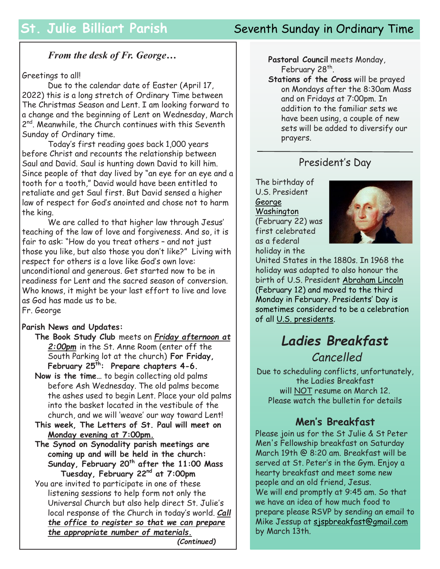# **St. Julie Billiart Parish Seventh Sunday in Ordinary Time**

#### *From the desk of Fr. George…*

#### Greetings to all!

Due to the calendar date of Easter (April 17, 2022) this is a long stretch of Ordinary Time between The Christmas Season and Lent. I am looking forward to a change and the beginning of Lent on Wednesday, March 2<sup>nd</sup>. Meanwhile, the Church continues with this Seventh Sunday of Ordinary time.

Today's first reading goes back 1,000 years before Christ and recounts the relationship between Saul and David. Saul is hunting down David to kill him. Since people of that day lived by "an eye for an eye and a tooth for a tooth," David would have been entitled to retaliate and get Saul first. But David sensed a higher law of respect for God's anointed and chose not to harm the king.

We are called to that higher law through Jesus' teaching of the law of love and forgiveness. And so, it is fair to ask: "How do you treat others – and not just those you like, but also those you don't like?" Living with respect for others is a love like God's own love: unconditional and generous. Get started now to be in readiness for Lent and the sacred season of conversion. Who knows, it might be your last effort to live and love as God has made us to be. Fr. George

#### **Parish News and Updates:**

- **The Book Study Club** meets on *Friday afternoon at 2:00pm* in the St. Anne Room (enter off the South Parking lot at the church) **For Friday, February 25th: Prepare chapters 4-6.**
- **Now is the time…** to begin collecting old palms before Ash Wednesday. The old palms become the ashes used to begin Lent. Place your old palms into the basket located in the vestibule of the church, and we will 'weave' our way toward Lent!
- **This week, The Letters of St. Paul will meet on Monday evening at 7:00pm.**
- **The Synod on Synodality parish meetings are coming up and will be held in the church: Sunday, February 20th after the 11:00 Mass Tuesday, February 22nd at 7:00pm**
- You are invited to participate in one of these listening sessions to help form not only the Universal Church but also help direct St. Julie's local response of the Church in today's world. *Call the office to register so that we can prepare the appropriate number of materials.*

*(Continued)*

**Pastoral Council** meets Monday, February 28<sup>th</sup>.

**Stations of the Cross** will be prayed on Mondays after the 8:30am Mass and on Fridays at 7:00pm. In addition to the familiar sets we have been using, a couple of new sets will be added to diversify our prayers.

#### President's Day

The birthday of U.S. President [George](https://www.britannica.com/biography/George-Washington)  **[Washington](https://www.britannica.com/biography/George-Washington)** (February 22) was first celebrated as a federal

holiday in the



United States in the 1880s. In 1968 the holiday was adapted to also honour the birth of U.S. President [Abraham Lincoln](https://www.britannica.com/biography/Abraham-Lincoln) (February 12) and moved to the third Monday in February. Presidents' Day is sometimes considered to be a celebration of all [U.S. presidents.](https://www.britannica.com/topic/presidency-of-the-United-States-of-America) 

# *Ladies Breakfast*

## *Cancelled*

Due to scheduling conflicts, unfortunately, the Ladies Breakfast will NOT resume on March 12. Please watch the bulletin for details

### **Men's Breakfast**

Please join us for the St Julie & St Peter Men's Fellowship breakfast on Saturday March 19th @ 8:20 am. Breakfast will be served at St. Peter's in the Gym. Enjoy a hearty breakfast and meet some new people and an old friend, Jesus. We will end promptly at 9:45 am. So that we have an idea of how much food to prepare please RSVP by sending an email to Mike Jessup at [sjspbreakfast@gmail.com](mailto:sjspbreakfast@gmail.com) by March 13th.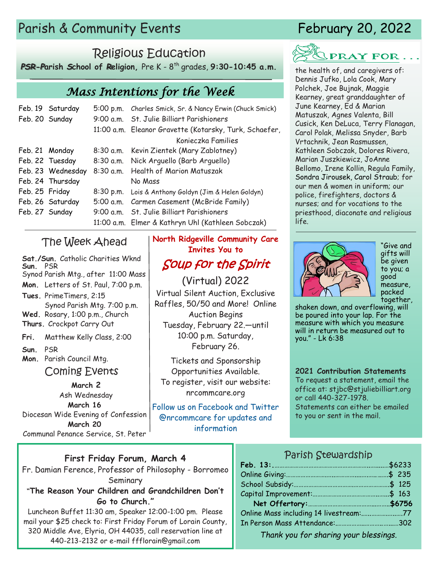# Parish & Community Events February 20, 2022

# Religious Education

*PSR-P***arish** *S***chool of** *R***eligion,** Pre K - 8 th grades, **9:30-10:45 a.m.** 

## *Mass Intentions for the Week*

|                | Feb. 19 Saturday  | 5:00 p.m. Charles Smick, Sr. & Nancy Erwin (Chuck Smick) |  |
|----------------|-------------------|----------------------------------------------------------|--|
| Feb. 20 Sunday |                   | 9:00 a.m. St. Julie Billiart Parishioners                |  |
|                |                   | 11:00 a.m. Eleanor Gravette (Kotarsky, Turk, Schaefer,   |  |
|                |                   | Konieczka Families                                       |  |
| Feb. 21 Monday |                   | 8:30 a.m. Kevin Zientek (Mary Zablotney)                 |  |
|                | Feb. 22 Tuesday   | 8:30 a.m. Nick Arguello (Barb Arguello)                  |  |
|                | Feb. 23 Wednesday | 8:30 a.m. Health of Marion Matuszak                      |  |
|                | Feb. 24 Thursday  | No Mass                                                  |  |
| Feb. 25 Friday |                   | 8:30 p.m. Lois & Anthony Goldyn (Jim & Helen Goldyn)     |  |
|                | Feb. 26 Saturday  | 5:00 a.m. Carmen Casement (McBride Family)               |  |
| Feb. 27 Sunday |                   | 9:00 a.m. St. Julie Billiart Parishioners                |  |
|                |                   | 11:00 a.m. Elmer & Kathryn Uhl (Kathleen Sobczak)        |  |

### The Week Ahead

**Sat./Sun.** Catholic Charities Wknd **Sun.** PSR Synod Parish Mtg., after 11:00 Mass **Mon.** Letters of St. Paul, 7:00 p.m. **Tues.** PrimeTimers, 2:15 Synod Parish Mtg. 7:00 p.m. **Wed.** Rosary, 1:00 p.m., Church **Thurs.** Crockpot Carry Out **Fri.** Matthew Kelly Class, 2:00 **Sun.** PSR **Mon.** Parish Council Mtg. Coming Events

**March 2** Ash Wednesday **March 16** Diocesan Wide Evening of Confession **March 20** Communal Penance Service, St. Peter

# **North Ridgeville Community Care Invites You to**

Soup for the Spirit (Virtual) 2022

Virtual Silent Auction, Exclusive Raffles, 50/50 and More! Online Auction Begins Tuesday, February 22.—until 10:00 p.m. Saturday, February 26.

Tickets and Sponsorship Opportunities Available. To register, visit our website: nrcommcare.org

Follow us on Facebook and Twitter @nrcommcare for updates and information

# PRAY FOR...

the health of, and caregivers of: Dennis Jufko, Lola Cook, Mary Polchek, Joe Bujnak, Maggie Kearney, great granddaughter of June Kearney, Ed & Marian Matuszak, Agnes Valenta, Bill Cusick, Ken DeLuca, Terry Flanagan, Carol Polak, Melissa Snyder, Barb Vrtachnik, Jean Rasmussen, Kathleen Sobczak, Dolores Rivera, Marian Juszkiewicz, JoAnne Bellomo, Irene Kollin, Regula Family, Sondra Jirousek, Carol Straub; for our men & women in uniform; our police, firefighters, doctors & nurses; and for vocations to the priesthood, diaconate and religious life.



"Give and gifts will be given to you; a good measure, packed together,

shaken down, and overflowing, will be poured into your lap. For the measure with which you measure will in return be measured out to you." - Lk 6:38

#### **2021 Contribution Statements**

To request a statement, email the office at: stjbc@stjuliebilliart.org or call 440-327-1978.

Statements can either be emailed to you or sent in the mail.

#### **First Friday Forum, March 4**

Fr. Damian Ference, Professor of Philosophy - Borromeo Seminary

**"The Reason Your Children and Grandchildren Don't Go to Church."**

Luncheon Buffet 11:30 am, Speaker 12:00-1:00 pm. Please mail your \$25 check to: First Friday Forum of Lorain County, 320 Middle Ave, Elyria, OH 44035, call reservation line at 440-213-2132 or e-mail ffflorain@gmail.com

#### Parish Stewardship

| Online Mass including 14 livestream:77 |  |
|----------------------------------------|--|
|                                        |  |
|                                        |  |

*. Thank you for sharing your blessings.*